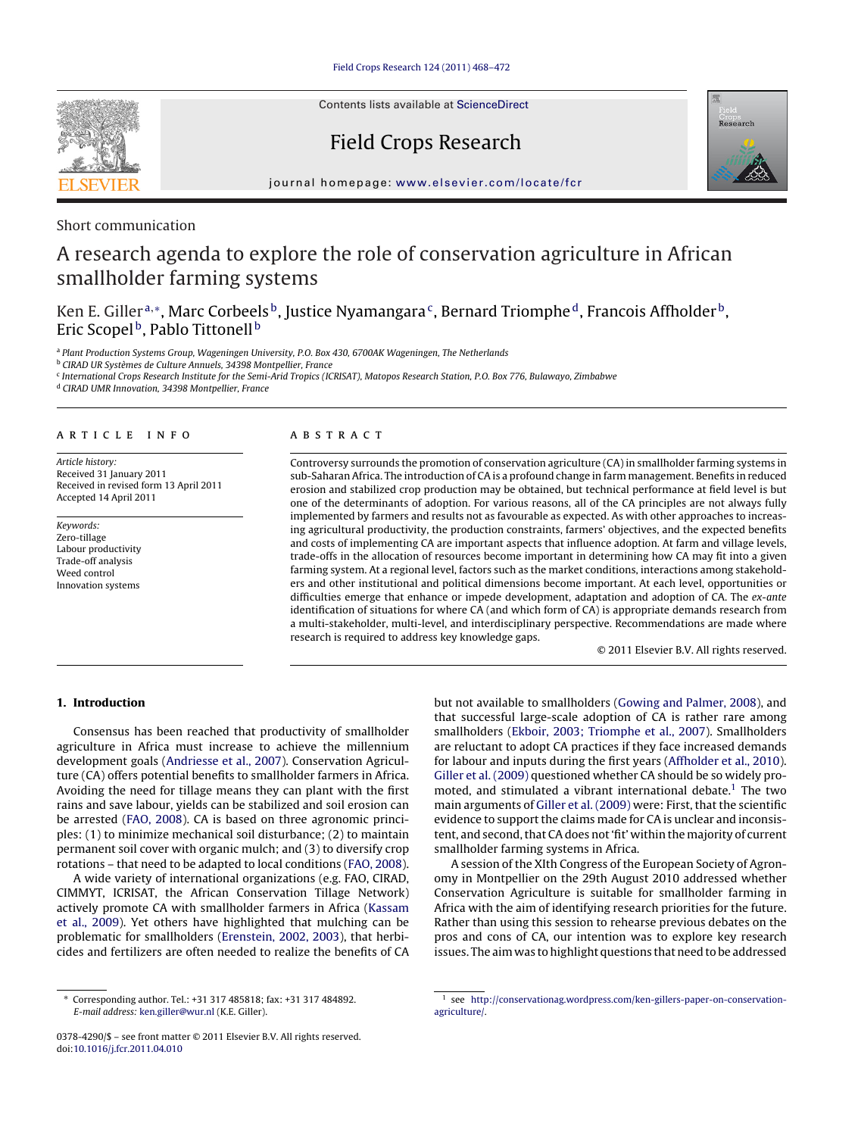Contents lists available at [ScienceDirect](http://www.sciencedirect.com/science/journal/03784290)

# Field Crops Research



journal homepage: [www.elsevier.com/locate/fcr](http://www.elsevier.com/locate/fcr)

### Short communication

# A research agenda to explore the role of conservation agriculture in African smallholder farming systems

## Ken E. Giller<sup>a,\*</sup>, Marc Corbeels<sup>b</sup>, Justice Nyamangara<sup>c</sup>, Bernard Triomphe<sup>d</sup>, Francois Affholder<sup>b</sup>, Eric Scopel<sup>b</sup>, Pablo Tittonell<sup>b</sup>

<sup>a</sup> Plant Production Systems Group, Wageningen University, P.O. Box 430, 6700AK Wageningen, The Netherlands

<sup>b</sup> CIRAD UR Systèmes de Culture Annuels, 34398 Montpellier, France

<sup>c</sup> International Crops Research Institute for the Semi-Arid Tropics (ICRISAT), Matopos Research Station, P.O. Box 776, Bulawayo, Zimbabwe

<sup>d</sup> CIRAD UMR Innovation, 34398 Montpellier, France

#### article info

Article history: Received 31 January 2011 Received in revised form 13 April 2011 Accepted 14 April 2011

Keywords: Zero-tillage Labour productivity Trade-off analysis Weed control Innovation systems

#### **ABSTRACT**

Controversy surrounds the promotion of conservation agriculture (CA) in smallholder farming systems in sub-Saharan Africa. The introduction of CA is a profound change in farm management. Benefits in reduced erosion and stabilized crop production may be obtained, but technical performance at field level is but one of the determinants of adoption. For various reasons, all of the CA principles are not always fully implemented by farmers and results not as favourable as expected. As with other approaches to increasing agricultural productivity, the production constraints, farmers' objectives, and the expected benefits and costs of implementing CA are important aspects that influence adoption. At farm and village levels, trade-offs in the allocation of resources become important in determining how CA may fit into a given farming system. At a regional level, factors such as the market conditions, interactions among stakeholders and other institutional and political dimensions become important. At each level, opportunities or difficulties emerge that enhance or impede development, adaptation and adoption of CA. The ex-ante identification of situations for where CA (and which form of CA) is appropriate demands research from a multi-stakeholder, multi-level, and interdisciplinary perspective. Recommendations are made where research is required to address key knowledge gaps.

© 2011 Elsevier B.V. All rights reserved.

#### **1. Introduction**

Consensus has been reached that productivity of smallholder agriculture in Africa must increase to achieve the millennium development goals [\(Andriesse et al., 2007\).](#page-3-0) Conservation Agriculture (CA) offers potential benefits to smallholder farmers in Africa. Avoiding the need for tillage means they can plant with the first rains and save labour, yields can be stabilized and soil erosion can be arrested ([FAO, 2008\).](#page-4-0) CA is based on three agronomic principles: (1) to minimize mechanical soil disturbance; (2) to maintain permanent soil cover with organic mulch; and (3) to diversify crop rotations – that need to be adapted to local conditions ([FAO, 2008\).](#page-4-0)

A wide variety of international organizations (e.g. FAO, CIRAD, CIMMYT, ICRISAT, the African Conservation Tillage Network) actively promote CA with smallholder farmers in Africa [\(Kassam](#page-4-0) [et al., 2009\).](#page-4-0) Yet others have highlighted that mulching can be problematic for smallholders ([Erenstein, 2002, 2003\),](#page-4-0) that herbicides and fertilizers are often needed to realize the benefits of CA but not available to smallholders ([Gowing and Palmer, 2008\),](#page-4-0) and that successful large-scale adoption of CA is rather rare among smallholders ([Ekboir, 2003; Triomphe et al., 2007\).](#page-3-0) Smallholders are reluctant to adopt CA practices if they face increased demands for labour and inputs during the first years ([Affholder et al., 2010\).](#page-3-0) [Giller et al. \(2009\)](#page-4-0) questioned whether CA should be so widely promoted, and stimulated a vibrant international debate.<sup>1</sup> The two main arguments of [Giller et al. \(2009\)](#page-4-0) were: First, that the scientific evidence to support the claims made for CA is unclear and inconsistent, and second, that CA does not 'fit' within the majority of current smallholder farming systems in Africa.

A session of the XIth Congress of the European Society of Agronomy in Montpellier on the 29th August 2010 addressed whether Conservation Agriculture is suitable for smallholder farming in Africa with the aim of identifying research priorities for the future. Rather than using this session to rehearse previous debates on the pros and cons of CA, our intention was to explore key research issues. The aim was to highlight questions that need to be addressed

<sup>∗</sup> Corresponding author. Tel.: +31 317 485818; fax: +31 317 484892. E-mail address: [ken.giller@wur.nl](mailto:ken.giller@wur.nl) (K.E. Giller).

<sup>0378-4290/\$ –</sup> see front matter © 2011 Elsevier B.V. All rights reserved. doi:[10.1016/j.fcr.2011.04.010](dx.doi.org/10.1016/j.fcr.2011.04.010)

<sup>1</sup> see [http://conservationag.wordpress.com/ken-gillers-paper-on-conservation](http://conservationag.wordpress.com/ken-gillers-paper-on-conservation-agriculture/)agriculture/.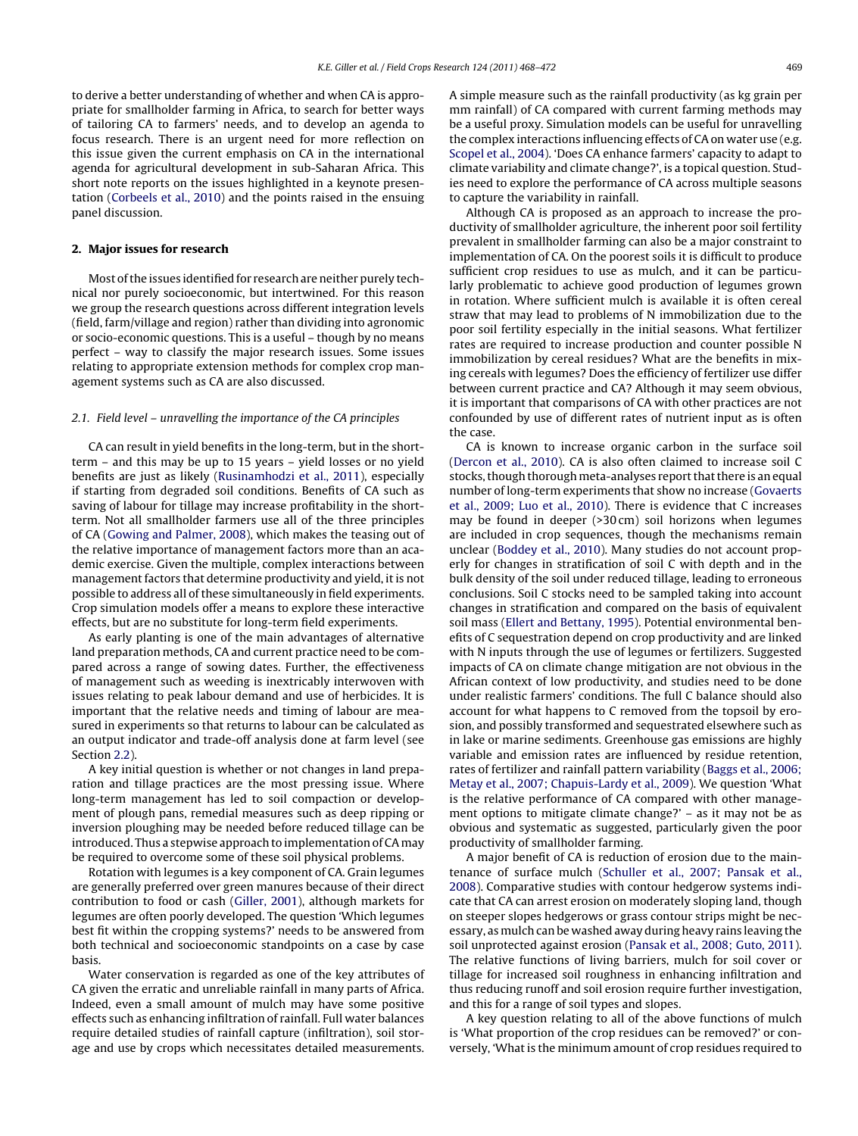to derive a better understanding of whether and when CA is appropriate for smallholder farming in Africa, to search for better ways of tailoring CA to farmers' needs, and to develop an agenda to focus research. There is an urgent need for more reflection on this issue given the current emphasis on CA in the international agenda for agricultural development in sub-Saharan Africa. This short note reports on the issues highlighted in a keynote presentation [\(Corbeels et al., 2010\)](#page-3-0) and the points raised in the ensuing panel discussion.

#### **2. Major issues for research**

Most of the issues identified for research are neither purely technical nor purely socioeconomic, but intertwined. For this reason we group the research questions across different integration levels (field, farm/village and region) rather than dividing into agronomic or socio-economic questions. This is a useful – though by no means perfect – way to classify the major research issues. Some issues relating to appropriate extension methods for complex crop management systems such as CA are also discussed.

#### 2.1. Field level – unravelling the importance of the CA principles

CA can result in yield benefits in the long-term, but in the shortterm – and this may be up to 15 years – yield losses or no yield benefits are just as likely [\(Rusinamhodzi et al., 2011\),](#page-4-0) especially if starting from degraded soil conditions. Benefits of CA such as saving of labour for tillage may increase profitability in the shortterm. Not all smallholder farmers use all of the three principles of CA [\(Gowing and Palmer, 2008\),](#page-4-0) which makes the teasing out of the relative importance of management factors more than an academic exercise. Given the multiple, complex interactions between management factors that determine productivity and yield, it is not possible to address all of these simultaneously in field experiments. Crop simulation models offer a means to explore these interactive effects, but are no substitute for long-term field experiments.

As early planting is one of the main advantages of alternative land preparation methods, CA and current practice need to be compared across a range of sowing dates. Further, the effectiveness of management such as weeding is inextricably interwoven with issues relating to peak labour demand and use of herbicides. It is important that the relative needs and timing of labour are measured in experiments so that returns to labour can be calculated as an output indicator and trade-off analysis done at farm level (see Section [2.2\).](#page-2-0)

A key initial question is whether or not changes in land preparation and tillage practices are the most pressing issue. Where long-term management has led to soil compaction or development of plough pans, remedial measures such as deep ripping or inversion ploughing may be needed before reduced tillage can be introduced. Thus a stepwise approach to implementation of CA may be required to overcome some of these soil physical problems.

Rotation with legumes is a key component of CA. Grain legumes are generally preferred over green manures because of their direct contribution to food or cash ([Giller, 2001\),](#page-4-0) although markets for legumes are often poorly developed. The question 'Which legumes best fit within the cropping systems?' needs to be answered from both technical and socioeconomic standpoints on a case by case basis.

Water conservation is regarded as one of the key attributes of CA given the erratic and unreliable rainfall in many parts of Africa. Indeed, even a small amount of mulch may have some positive effects such as enhancing infiltration of rainfall. Full water balances require detailed studies of rainfall capture (infiltration), soil storage and use by crops which necessitates detailed measurements.

A simple measure such as the rainfall productivity (as kg grain per mm rainfall) of CA compared with current farming methods may be a useful proxy. Simulation models can be useful for unravelling the complex interactions influencing effects of CA on water use (e.g. [Scopel et al., 2004\).](#page-4-0) 'Does CA enhance farmers' capacity to adapt to climate variability and climate change?', is a topical question. Studies need to explore the performance of CA across multiple seasons to capture the variability in rainfall.

Although CA is proposed as an approach to increase the productivity of smallholder agriculture, the inherent poor soil fertility prevalent in smallholder farming can also be a major constraint to implementation of CA. On the poorest soils it is difficult to produce sufficient crop residues to use as mulch, and it can be particularly problematic to achieve good production of legumes grown in rotation. Where sufficient mulch is available it is often cereal straw that may lead to problems of N immobilization due to the poor soil fertility especially in the initial seasons. What fertilizer rates are required to increase production and counter possible N immobilization by cereal residues? What are the benefits in mixing cereals with legumes? Does the efficiency of fertilizer use differ between current practice and CA? Although it may seem obvious, it is important that comparisons of CA with other practices are not confounded by use of different rates of nutrient input as is often the case.

CA is known to increase organic carbon in the surface soil [\(Dercon et al., 2010\).](#page-3-0) CA is also often claimed to increase soil C stocks, though thorough meta-analyses report that there is an equal number of long-term experiments that show no increase ([Govaerts](#page-4-0) [et al., 2009; Luo et al., 2010\).](#page-4-0) There is evidence that C increases may be found in deeper (>30 cm) soil horizons when legumes are included in crop sequences, though the mechanisms remain unclear [\(Boddey et al., 2010\).](#page-3-0) Many studies do not account properly for changes in stratification of soil C with depth and in the bulk density of the soil under reduced tillage, leading to erroneous conclusions. Soil C stocks need to be sampled taking into account changes in stratification and compared on the basis of equivalent soil mass [\(Ellert and Bettany, 1995\).](#page-3-0) Potential environmental benefits of C sequestration depend on crop productivity and are linked with N inputs through the use of legumes or fertilizers. Suggested impacts of CA on climate change mitigation are not obvious in the African context of low productivity, and studies need to be done under realistic farmers' conditions. The full C balance should also account for what happens to C removed from the topsoil by erosion, and possibly transformed and sequestrated elsewhere such as in lake or marine sediments. Greenhouse gas emissions are highly variable and emission rates are influenced by residue retention, rates of fertilizer and rainfall pattern variability [\(Baggs et al., 2006;](#page-3-0) [Metay et al., 2007; Chapuis-Lardy et al., 2009\).](#page-3-0) We question 'What is the relative performance of CA compared with other management options to mitigate climate change?' – as it may not be as obvious and systematic as suggested, particularly given the poor productivity of smallholder farming.

A major benefit of CA is reduction of erosion due to the maintenance of surface mulch ([Schuller et al., 2007; Pansak et al.,](#page-4-0) [2008\).](#page-4-0) Comparative studies with contour hedgerow systems indicate that CA can arrest erosion on moderately sloping land, though on steeper slopes hedgerows or grass contour strips might be necessary, as mulch can be washed away during heavy rains leaving the soil unprotected against erosion ([Pansak et al., 2008; Guto, 2011\).](#page-4-0) The relative functions of living barriers, mulch for soil cover or tillage for increased soil roughness in enhancing infiltration and thus reducing runoff and soil erosion require further investigation, and this for a range of soil types and slopes.

A key question relating to all of the above functions of mulch is 'What proportion of the crop residues can be removed?' or conversely, 'What is the minimum amount of crop residues required to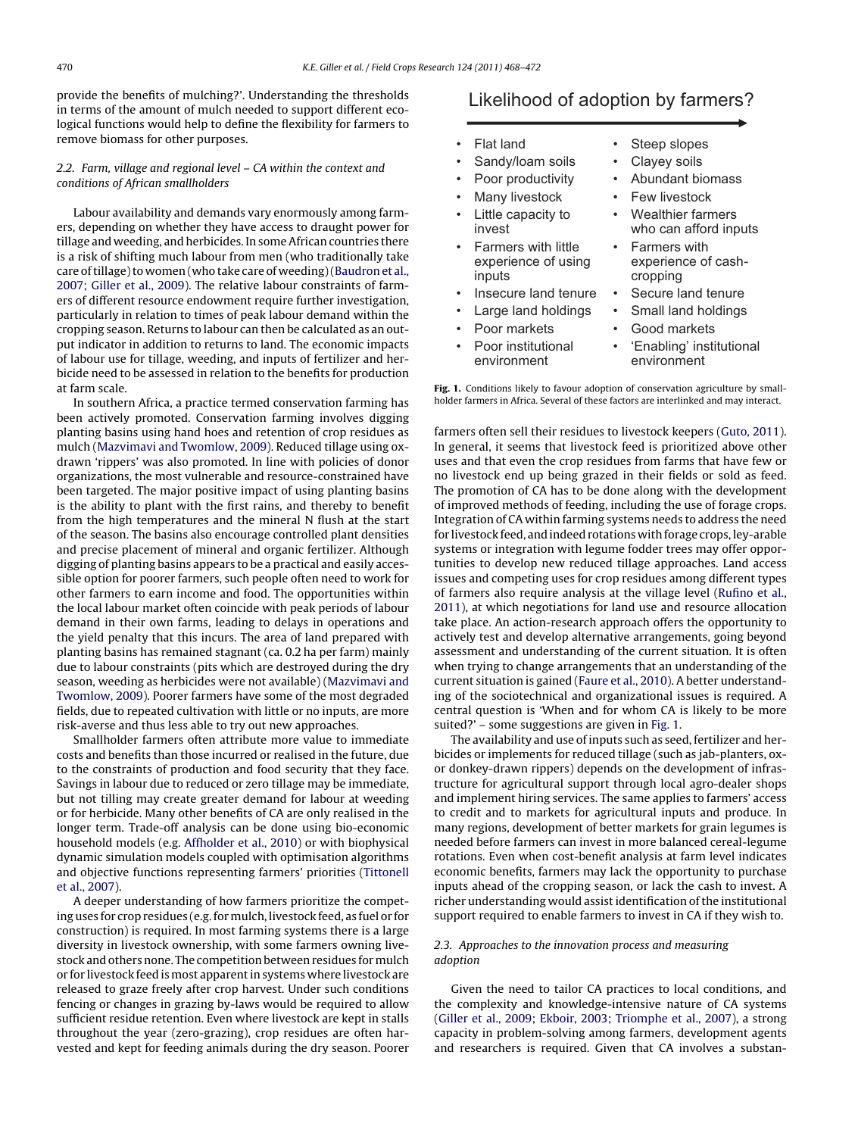<span id="page-2-0"></span>provide the benefits of mulching?'. Understanding the thresholds in terms of the amount of mulch needed to support different ecological functions would help to define the flexibility for farmers to remove biomass for other purposes.

### 2.2. Farm, village and regional level – CA within the context and conditions of African smallholders

Labour availability and demands vary enormously among farmers, depending on whether they have access to draught power for tillage and weeding, and herbicides. In some African countries there is a risk of shifting much labour from men (who traditionally take care of tillage) to women (who take care of weeding) [\(Baudron et al.,](#page-3-0) [2007; Giller et al., 2009\).](#page-3-0) The relative labour constraints of farmers of different resource endowment require further investigation, particularly in relation to times of peak labour demand within the cropping season. Returns to labour can then be calculated as an output indicator in addition to returns to land. The economic impacts of labour use for tillage, weeding, and inputs of fertilizer and herbicide need to be assessed in relation to the benefits for production at farm scale.

In southern Africa, a practice termed conservation farming has been actively promoted. Conservation farming involves digging planting basins using hand hoes and retention of crop residues as mulch ([Mazvimavi and Twomlow, 2009\).](#page-4-0) Reduced tillage using oxdrawn 'rippers' was also promoted. In line with policies of donor organizations, the most vulnerable and resource-constrained have been targeted. The major positive impact of using planting basins is the ability to plant with the first rains, and thereby to benefit from the high temperatures and the mineral N flush at the start of the season. The basins also encourage controlled plant densities and precise placement of mineral and organic fertilizer. Although digging of planting basins appears to be a practical and easily accessible option for poorer farmers, such people often need to work for other farmers to earn income and food. The opportunities within the local labour market often coincide with peak periods of labour demand in their own farms, leading to delays in operations and the yield penalty that this incurs. The area of land prepared with planting basins has remained stagnant (ca. 0.2 ha per farm) mainly due to labour constraints (pits which are destroyed during the dry season, weeding as herbicides were not available) [\(Mazvimavi and](#page-4-0) [Twomlow, 2009\).](#page-4-0) Poorer farmers have some of the most degraded fields, due to repeated cultivation with little or no inputs, are more risk-averse and thus less able to try out new approaches.

Smallholder farmers often attribute more value to immediate costs and benefits than those incurred or realised in the future, due to the constraints of production and food security that they face. Savings in labour due to reduced or zero tillage may be immediate, but not tilling may create greater demand for labour at weeding or for herbicide. Many other benefits of CA are only realised in the longer term. Trade-off analysis can be done using bio-economic household models (e.g. [Affholder et al., 2010\)](#page-3-0) or with biophysical dynamic simulation models coupled with optimisation algorithms and objective functions representing farmers' priorities [\(Tittonell](#page-4-0) [et al., 2007\).](#page-4-0)

A deeper understanding of how farmers prioritize the competing uses for crop residues (e.g. formulch, livestock feed, as fuel or for construction) is required. In most farming systems there is a large diversity in livestock ownership, with some farmers owning livestock and others none. The competition between residues formulch or for livestock feed is most apparent in systems where livestock are released to graze freely after crop harvest. Under such conditions fencing or changes in grazing by-laws would be required to allow sufficient residue retention. Even where livestock are kept in stalls throughout the year (zero-grazing), crop residues are often harvested and kept for feeding animals during the dry season. Poorer

## Likelihood of adoption by farmers?

- Flat land
- Sandy/loam soils
- Poor productivity
- Many livestock
- Little capacity to invest
- Farmers with little experience of using inputs
- Insecure land tenure
- Large land holdings
- Poor markets
- Poor institutional environment
- Steep slopes
- Clayey soils
- Abundant biomass
- **Few livestock** 
	- Wealthier farmers who can afford inputs
	- Farmers with experience of cashcropping
	- Secure land tenure
	- Small land holdings
	- Good markets
	- 'Enabling' institutional environment

**Fig. 1.** Conditions likely to favour adoption of conservation agriculture by smallholder farmers in Africa. Several of these factors are interlinked and may interact.

farmers often sell their residues to livestock keepers [\(Guto, 2011\).](#page-4-0) In general, it seems that livestock feed is prioritized above other uses and that even the crop residues from farms that have few or no livestock end up being grazed in their fields or sold as feed. The promotion of CA has to be done along with the development of improved methods of feeding, including the use of forage crops. Integration of CA within farming systems needs to address the need for livestock feed, and indeed rotations with forage crops, ley-arable systems or integration with legume fodder trees may offer opportunities to develop new reduced tillage approaches. Land access issues and competing uses for crop residues among different types of farmers also require analysis at the village level [\(Rufino et al.,](#page-4-0) [2011\),](#page-4-0) at which negotiations for land use and resource allocation take place. An action-research approach offers the opportunity to actively test and develop alternative arrangements, going beyond assessment and understanding of the current situation. It is often when trying to change arrangements that an understanding of the current situation is gained [\(Faure et al., 2010\).](#page-4-0) A better understanding of the sociotechnical and organizational issues is required. A central question is 'When and for whom CA is likely to be more suited?' – some suggestions are given in Fig. 1.

The availability and use of inputs such as seed, fertilizer and herbicides or implements for reduced tillage (such as jab-planters, oxor donkey-drawn rippers) depends on the development of infrastructure for agricultural support through local agro-dealer shops and implement hiring services. The same applies to farmers' access to credit and to markets for agricultural inputs and produce. In many regions, development of better markets for grain legumes is needed before farmers can invest in more balanced cereal-legume rotations. Even when cost-benefit analysis at farm level indicates economic benefits, farmers may lack the opportunity to purchase inputs ahead of the cropping season, or lack the cash to invest. A richer understanding would assist identification of the institutional support required to enable farmers to invest in CA if they wish to.

#### 2.3. Approaches to the innovation process and measuring adoption

Given the need to tailor CA practices to local conditions, and the complexity and knowledge-intensive nature of CA systems [\(Giller et al., 2009; Ekboir, 2003; Triomphe et al., 2007\),](#page-4-0) a strong capacity in problem-solving among farmers, development agents and researchers is required. Given that CA involves a substan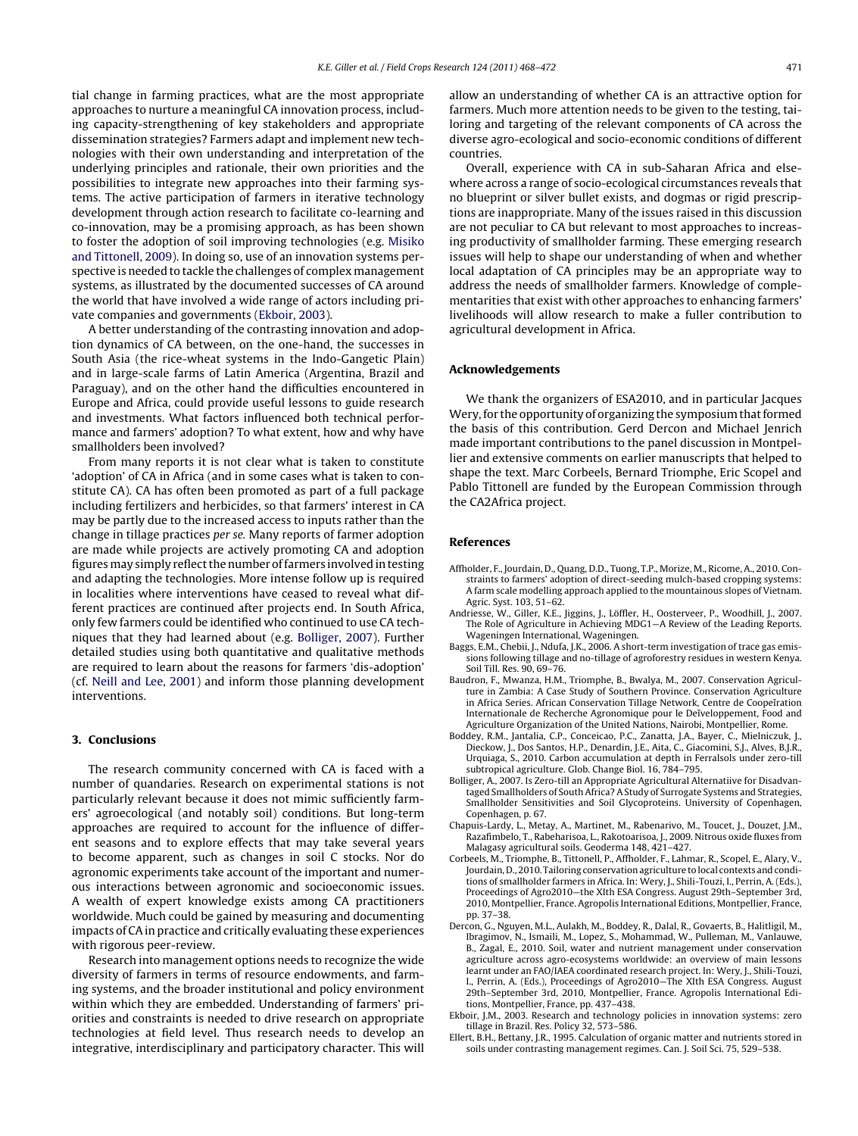<span id="page-3-0"></span>tial change in farming practices, what are the most appropriate approaches to nurture a meaningful CA innovation process, including capacity-strengthening of key stakeholders and appropriate dissemination strategies? Farmers adapt and implement new technologies with their own understanding and interpretation of the underlying principles and rationale, their own priorities and the possibilities to integrate new approaches into their farming systems. The active participation of farmers in iterative technology development through action research to facilitate co-learning and co-innovation, may be a promising approach, as has been shown to foster the adoption of soil improving technologies (e.g. [Misiko](#page-4-0) [and Tittonell, 2009\).](#page-4-0) In doing so, use of an innovation systems perspective is needed to tackle the challenges of complex management systems, as illustrated by the documented successes of CA around the world that have involved a wide range of actors including private companies and governments (Ekboir, 2003).

A better understanding of the contrasting innovation and adoption dynamics of CA between, on the one-hand, the successes in South Asia (the rice-wheat systems in the Indo-Gangetic Plain) and in large-scale farms of Latin America (Argentina, Brazil and Paraguay), and on the other hand the difficulties encountered in Europe and Africa, could provide useful lessons to guide research and investments. What factors influenced both technical performance and farmers' adoption? To what extent, how and why have smallholders been involved?

From many reports it is not clear what is taken to constitute 'adoption' of CA in Africa (and in some cases what is taken to constitute CA). CA has often been promoted as part of a full package including fertilizers and herbicides, so that farmers' interest in CA may be partly due to the increased access to inputs rather than the change in tillage practices per se. Many reports of farmer adoption are made while projects are actively promoting CA and adoption figuresmay simply reflect the number of farmers involved in testing and adapting the technologies. More intense follow up is required in localities where interventions have ceased to reveal what different practices are continued after projects end. In South Africa, only few farmers could be identified who continued to use CA techniques that they had learned about (e.g. Bolliger, 2007). Further detailed studies using both quantitative and qualitative methods are required to learn about the reasons for farmers 'dis-adoption' (cf. [Neill and Lee, 2001\)](#page-4-0) and inform those planning development interventions.

#### **3. Conclusions**

The research community concerned with CA is faced with a number of quandaries. Research on experimental stations is not particularly relevant because it does not mimic sufficiently farmers' agroecological (and notably soil) conditions. But long-term approaches are required to account for the influence of different seasons and to explore effects that may take several years to become apparent, such as changes in soil C stocks. Nor do agronomic experiments take account of the important and numerous interactions between agronomic and socioeconomic issues. A wealth of expert knowledge exists among CA practitioners worldwide. Much could be gained by measuring and documenting impacts of CA in practice and critically evaluating these experiences with rigorous peer-review.

Research into management options needs to recognize the wide diversity of farmers in terms of resource endowments, and farming systems, and the broader institutional and policy environment within which they are embedded. Understanding of farmers' priorities and constraints is needed to drive research on appropriate technologies at field level. Thus research needs to develop an integrative, interdisciplinary and participatory character. This will

allow an understanding of whether CA is an attractive option for farmers. Much more attention needs to be given to the testing, tailoring and targeting of the relevant components of CA across the diverse agro-ecological and socio-economic conditions of different countries.

Overall, experience with CA in sub-Saharan Africa and elsewhere across a range of socio-ecological circumstances reveals that no blueprint or silver bullet exists, and dogmas or rigid prescriptions are inappropriate. Many of the issues raised in this discussion are not peculiar to CA but relevant to most approaches to increasing productivity of smallholder farming. These emerging research issues will help to shape our understanding of when and whether local adaptation of CA principles may be an appropriate way to address the needs of smallholder farmers. Knowledge of complementarities that exist with other approaches to enhancing farmers' livelihoods will allow research to make a fuller contribution to agricultural development in Africa.

#### **Acknowledgements**

We thank the organizers of ESA2010, and in particular Jacques Wery, for the opportunity of organizing the symposium that formed the basis of this contribution. Gerd Dercon and Michael Jenrich made important contributions to the panel discussion in Montpellier and extensive comments on earlier manuscripts that helped to shape the text. Marc Corbeels, Bernard Triomphe, Eric Scopel and Pablo Tittonell are funded by the European Commission through the CA2Africa project.

#### **References**

- Affholder, F., Jourdain, D., Quang, D.D., Tuong, T.P., Morize, M., Ricome, A., 2010. Constraints to farmers' adoption of direct-seeding mulch-based cropping systems: A farm scale modelling approach applied to the mountainous slopes of Vietnam. Agric. Syst. 103, 51–62.
- Andriesse, W., Giller, K.E., Jiggins, J., Löffler, H., Oosterveer, P., Woodhill, J., 2007. The Role of Agriculture in Achieving MDG1—A Review of the Leading Reports. Wageningen International, Wageningen.
- Baggs, E.M., Chebii, J., Ndufa, J.K., 2006. A short-term investigation of trace gas emissions following tillage and no-tillage of agroforestry residues in western Kenya. Soil Till. Res. 90, 69–76.
- Baudron, F., Mwanza, H.M., Triomphe, B., Bwalya, M., 2007. Conservation Agriculture in Zambia: A Case Study of Southern Province. Conservation Agriculture in Africa Series. African Conservation Tillage Network, Centre de Coopeĭration Internationale de Recherche Agronomique pour le Deĭveloppement, Food and Agriculture Organization of the United Nations, Nairobi, Montpellier, Rome.
- Boddey, R.M., Jantalia, C.P., Conceicao, P.C., Zanatta, J.A., Bayer, C., Mielniczuk, J., Dieckow, J., Dos Santos, H.P., Denardin, J.E., Aita, C., Giacomini, S.J., Alves, B.J.R. Urquiaga, S., 2010. Carbon accumulation at depth in Ferralsols under zero-till subtropical agriculture. Glob. Change Biol. 16, 784–795.
- Bolliger, A., 2007. Is Zero-till an Appropriate Agricultural Alternatiive for Disadvantaged Smallholders of South Africa? A Study of Surrogate Systems and Strategies, Smallholder Sensitivities and Soil Glycoproteins. University of Copenhagen, Copenhagen, p. 67.
- Chapuis-Lardy, L., Metay, A., Martinet, M., Rabenarivo, M., Toucet, J., Douzet, J.M., Razafimbelo, T., Rabeharisoa, L., Rakotoarisoa, J., 2009. Nitrous oxide fluxes from Malagasy agricultural soils. Geoderma 148, 421–427.
- Corbeels, M., Triomphe, B., Tittonell, P., Affholder, F., Lahmar, R., Scopel, E., Alary, V., Jourdain, D., 2010. Tailoring conservation agriculture to local contexts and conditions of smallholder farmers in Africa. In: Wery, J., Shili-Touzi, I., Perrin, A. (Eds.), Proceedings of Agro2010—the XIth ESA Congress. August 29th–September 3rd, 2010, Montpellier, France. Agropolis International Editions, Montpellier, France, pp. 37–38.
- Dercon, G., Nguyen, M.L., Aulakh, M., Boddey, R., Dalal, R., Govaerts, B., Halitligil, M., Ibragimov, N., Ismaili, M., Lopez, S., Mohammad, W., Pulleman, M., Vanlauwe, B., Zagal, E., 2010. Soil, water and nutrient management under conservation agriculture across agro-ecosystems worldwide: an overview of main lessons learnt under an FAO/IAEA coordinated research project. In: Wery, J., Shili-Touzi, I., Perrin, A. (Eds.), Proceedings of Agro2010—The XIth ESA Congress. August 29th–September 3rd, 2010, Montpellier, France. Agropolis International Editions, Montpellier, France, pp. 437–438.
- Ekboir, J.M., 2003. Research and technology policies in innovation systems: zero tillage in Brazil. Res. Policy 32, 573–586.
- Ellert, B.H., Bettany, J.R., 1995. Calculation of organic matter and nutrients stored in soils under contrasting management regimes. Can. J. Soil Sci. 75, 529–538.